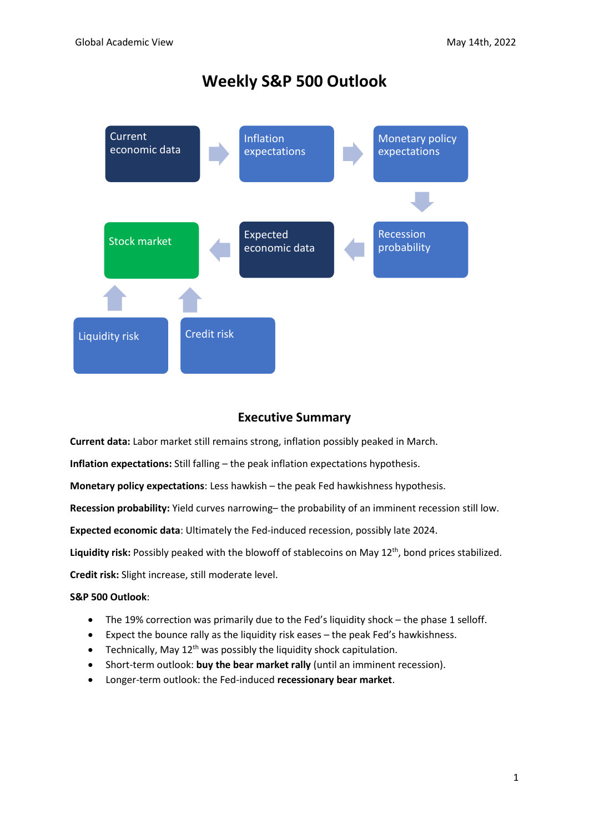# **Weekly S&P 500 Outlook**



# **Executive Summary**

**Current data:** Labor market still remains strong, inflation possibly peaked in March.

**Inflation expectations:** Still falling – the peak inflation expectations hypothesis.

**Monetary policy expectations**: Less hawkish – the peak Fed hawkishness hypothesis.

**Recession probability:** Yield curves narrowing– the probability of an imminent recession still low.

**Expected economic data**: Ultimately the Fed-induced recession, possibly late 2024.

Liquidity risk: Possibly peaked with the blowoff of stablecoins on May 12<sup>th</sup>, bond prices stabilized.

**Credit risk:** Slight increase, still moderate level.

### **S&P 500 Outlook**:

- The 19% correction was primarily due to the Fed's liquidity shock the phase 1 selloff.
- Expect the bounce rally as the liquidity risk eases the peak Fed's hawkishness.
- Technically, May  $12^{th}$  was possibly the liquidity shock capitulation.
- Short-term outlook: **buy the bear market rally** (until an imminent recession).
- Longer-term outlook: the Fed-induced **recessionary bear market**.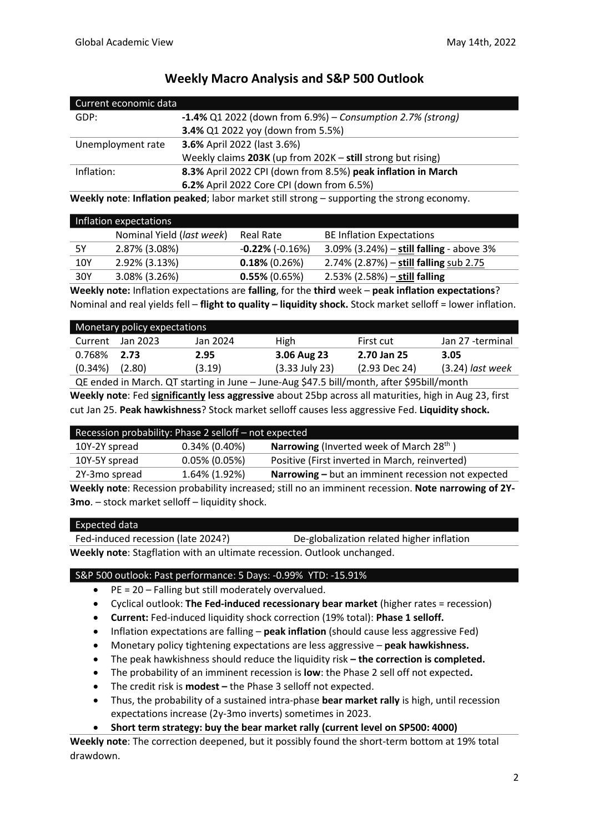| Current economic data |                                                               |
|-----------------------|---------------------------------------------------------------|
| GDP:                  | $-1.4\%$ Q1 2022 (down from 6.9%) – Consumption 2.7% (strong) |
|                       | 3.4% Q1 2022 yoy (down from 5.5%)                             |
| Unemployment rate     | 3.6% April 2022 (last 3.6%)                                   |
|                       | Weekly claims 203K (up from 202K - still strong but rising)   |
| Inflation:            | 8.3% April 2022 CPI (down from 8.5%) peak inflation in March  |
|                       | 6.2% April 2022 Core CPI (down from 6.5%)                     |

# **Weekly Macro Analysis and S&P 500 Outlook**

**Weekly note**: **Inflation peaked**; labor market still strong – supporting the strong economy.

|     | Inflation expectations    |                         |                                            |
|-----|---------------------------|-------------------------|--------------------------------------------|
|     | Nominal Yield (last week) | Real Rate               | <b>BE Inflation Expectations</b>           |
| 5Υ  | 2.87% (3.08%)             | $-0.22\%$ ( $-0.16\%$ ) | 3.09% $(3.24%) -$ still falling - above 3% |
| 10Y | 2.92% (3.13%)             | $0.18\%$ (0.26%)        | 2.74% (2.87%) – still falling sub 2.75     |
| 30Y | 3.08% (3.26%)             | $0.55\%$ (0.65%)        | $2.53\%$ (2.58%) – still falling           |

**Weekly note:** Inflation expectations are **falling**, for the **third** week – **peak inflation expectations**? Nominal and real yields fell – **flight to quality – liquidity shock.** Stock market selloff = lower inflation.

|         | Monetary policy expectations |          |                  |                            |                    |
|---------|------------------------------|----------|------------------|----------------------------|--------------------|
| Current | Jan 2023                     | Jan 2024 | High             | First cut                  | Jan 27 -terminal   |
| 0.768%  | 2.73                         | 2.95     | 3.06 Aug 23      | 2.70 Jan 25                | 3.05               |
| (0.34%) | (2.80)                       | (3.19)   | $(3.33$ July 23) | $(2.93$ Dec 24)            | $(3.24)$ last week |
|         |                              | .        |                  | $\cdots$ $\cdots$ $\cdots$ |                    |

QE ended in March. QT starting in June – June-Aug \$47.5 bill/month, after \$95bill/month **Weekly note**: Fed **significantly less aggressive** about 25bp across all maturities, high in Aug 23, first cut Jan 25. **Peak hawkishness**? Stock market selloff causes less aggressive Fed. **Liquidity shock.**

| Recession probability: Phase 2 selloff - not expected |                  |                                                             |  |
|-------------------------------------------------------|------------------|-------------------------------------------------------------|--|
| 10Y-2Y spread                                         | $0.34\%$ (0.40%) | <b>Narrowing</b> (Inverted week of March 28 <sup>th</sup> ) |  |
| 10Y-5Y spread                                         | $0.05\%$ (0.05%) | Positive (First inverted in March, reinverted)              |  |
| 2Y-3mo spread                                         | 1.64% (1.92%)    | Narrowing - but an imminent recession not expected          |  |
|                                                       |                  |                                                             |  |

**Weekly note**: Recession probability increased; still no an imminent recession. **Note narrowing of 2Y-3mo**. – stock market selloff – liquidity shock.

#### Expected data

Fed-induced recession (late 2024?) De-globalization related higher inflation **Weekly note**: Stagflation with an ultimate recession. Outlook unchanged.

### S&P 500 outlook: Past performance: 5 Days: -0.99% YTD: -15.91%

- PE = 20 Falling but still moderately overvalued.
- Cyclical outlook: **The Fed-induced recessionary bear market** (higher rates = recession)
- **Current:** Fed-induced liquidity shock correction (19% total): **Phase 1 selloff.**
- Inflation expectations are falling **peak inflation** (should cause less aggressive Fed)
- Monetary policy tightening expectations are less aggressive **peak hawkishness.**
- The peak hawkishness should reduce the liquidity risk **– the correction is completed.**
- The probability of an imminent recession is **low**: the Phase 2 sell off not expected**.**
- The credit risk is **modest –** the Phase 3 selloff not expected.
- Thus, the probability of a sustained intra-phase **bear market rally** is high, until recession expectations increase (2y-3mo inverts) sometimes in 2023.
- **Short term strategy: buy the bear market rally (current level on SP500: 4000)**

**Weekly note**: The correction deepened, but it possibly found the short-term bottom at 19% total drawdown.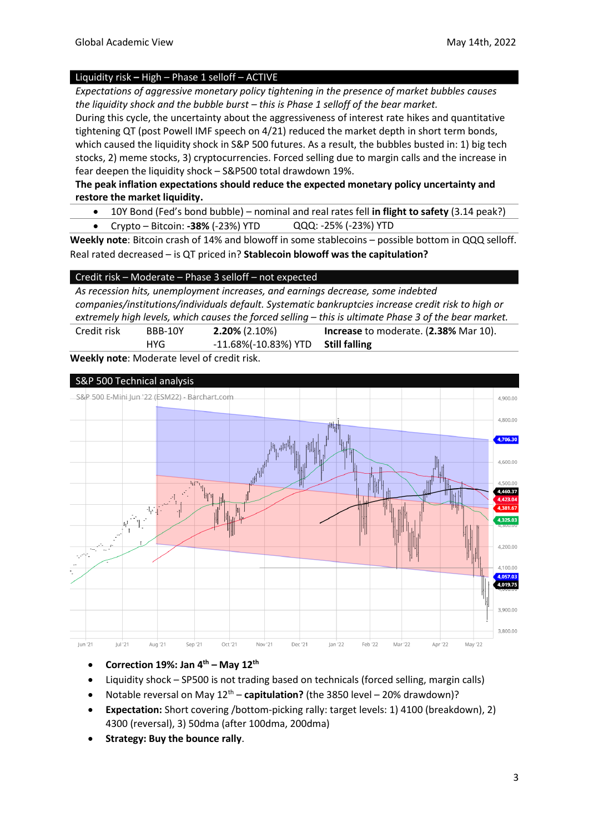#### Liquidity risk **–** High – Phase 1 selloff – ACTIVE

*Expectations of aggressive monetary policy tightening in the presence of market bubbles causes the liquidity shock and the bubble burst – this is Phase 1 selloff of the bear market.* 

During this cycle, the uncertainty about the aggressiveness of interest rate hikes and quantitative tightening QT (post Powell IMF speech on 4/21) reduced the market depth in short term bonds, which caused the liquidity shock in S&P 500 futures. As a result, the bubbles busted in: 1) big tech stocks, 2) meme stocks, 3) cryptocurrencies. Forced selling due to margin calls and the increase in fear deepen the liquidity shock – S&P500 total drawdown 19%.

### **The peak inflation expectations should reduce the expected monetary policy uncertainty and restore the market liquidity.**

- 10Y Bond (Fed's bond bubble) nominal and real rates fell **in flight to safety** (3.14 peak?)
- Crypto Bitcoin: **-38%** (-23%) YTD QQQ: -25% (-23%) YTD

**Weekly note**: Bitcoin crash of 14% and blowoff in some stablecoins – possible bottom in QQQ selloff. Real rated decreased – is QT priced in? **Stablecoin blowoff was the capitulation?** 

#### Credit risk – Moderate – Phase 3 selloff – not expected

*As recession hits, unemployment increases, and earnings decrease, some indebted companies/institutions/individuals default. Systematic bankruptcies increase credit risk to high or extremely high levels, which causes the forced selling – this is ultimate Phase 3 of the bear market.* 

Credit risk BBB-10Y **HYG 2.20%** (2.10%) -11.68%(-10.83%) YTD **Increase** to moderate. (**2.38%** Mar 10). **Still falling** 

**Weekly note**: Moderate level of credit risk.



- **Correction 19%: Jan 4 th – May 12th**
- Liquidity shock SP500 is not trading based on technicals (forced selling, margin calls)
- Notable reversal on May 12th **capitulation?** (the 3850 level 20% drawdown)?
- **Expectation:** Short covering /bottom-picking rally: target levels: 1) 4100 (breakdown), 2) 4300 (reversal), 3) 50dma (after 100dma, 200dma)
- **Strategy: Buy the bounce rally**.